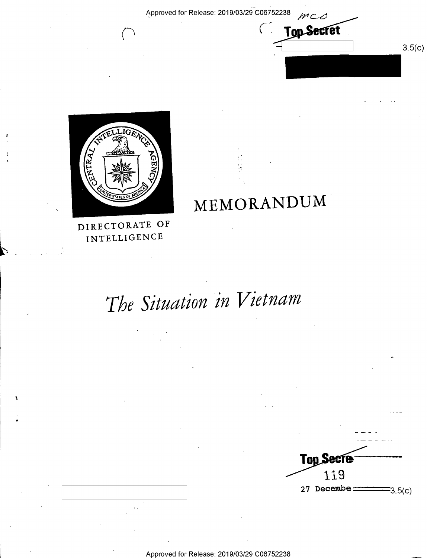$\left($ 

MEMORANDUM

**Top Secret** 

 $3.5(c)$ 



 $\left($ 

DIRECTORATE OF INTELLIGENCE

# The Situation in Vietnam



Approved for Release: 2019/03/29 C06752238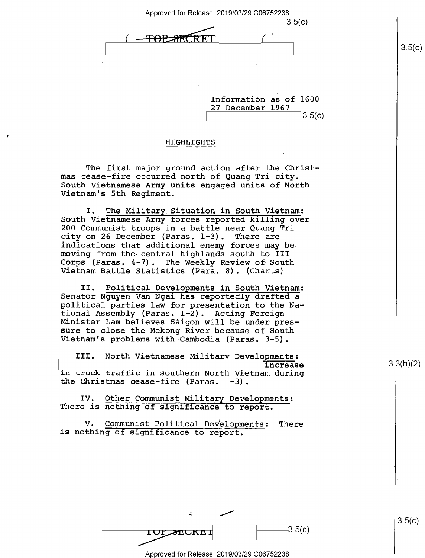Approved for Release: 2019/03/29 C06752238 \_

 $3.5(c)$ <del>TOP 8FCRT</del>

Information as of 1600 27 December 1967  $3.5(c)$ 

#### HIGHLIGHTS

The first major ground action after the Christmas cease—fire occurred north of Quang Tri city. South Vietnamese Army units engaged units of North Vietnam's 5th Regiment.

I. The Military Situation in South Vietnam: South Vietnamese Army forces reported killing over 200 Communist troops in a battle near Quang Tri city on 26 December (Paras. l-3). There are indications that additional enemy forces may bemoving from the central highlands south to III<br>Corps (Paras. 4-7). The Weekly Review of South Vietnam Battle Statistics (Para. 8). (Charts)

II. Political Developments in South Vietnam: Senator Nguyen Van Ngai has reportedly drafted a political parties law for presentation to the Na-<br>tional Assembly (Paras. 1-2). Acting Foreign Minister Lam believes Saigon will be under pres-<br>sure to close the Mekong River because of South Vietnam's problems with Cambodia (Paras. 3-5).

III. North Vietnamese Military Develgpments: in truck traffic in southern North Vietnam during the Christmas cease-fire (Paras. 1-3).

IV. Other Communist Military Developments: There is nothing of significance to report.

V. Communist Political Developments: There is nothing of significance to report.

 $\frac{1}{\sqrt{1-\text{sec(1)}}}$  .  $\frac{3.5(c)}{c}$ 

Approved for Release: 2019/03/29 C06752238

3.3(h)(2)

 $3.5(c)$ 

 $3.5(c)$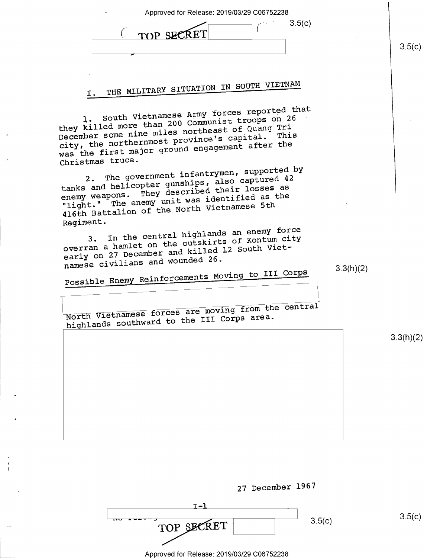| Approved for Release: 2019/03/29 C06752238<br>3.5(c)<br>TOP SECRET                                                                                                                                                                                                                                                                                                               |           | 3.5(c)    |
|----------------------------------------------------------------------------------------------------------------------------------------------------------------------------------------------------------------------------------------------------------------------------------------------------------------------------------------------------------------------------------|-----------|-----------|
| THE MILITARY SITUATION IN SOUTH VIETNAM<br>I.                                                                                                                                                                                                                                                                                                                                    |           |           |
| 1. South Vietnamese Army forces reported that<br>they killed more than 200 Communist troops on 26<br>December some nine miles northeast of Quang Tri<br>city, the northernmost province's capital. This<br>was the first major ground engagement after the<br>Christmas truce.<br>2. The government infantrymen, supported by<br>tanks and helicopter gunships, also captured 42 |           |           |
| enemy weapons. They described their losses as<br>"light." The enemy unit was identified as the<br>416th Battalion of the North Vietnamese 5th<br>Regiment.<br>3. In the central highlands an enemy force<br>overran a hamlet on the outskirts of Kontum city<br>early on 27 December and killed 12 South Viet-                                                                   |           |           |
| namese civilians and wounded 26.<br>Possible Enemy Reinforcements Moving to III Corps<br>North Vietnamese forces are moving from the central<br>highlands southward to the III Corps area.                                                                                                                                                                                       | 3.3(h)(2) |           |
|                                                                                                                                                                                                                                                                                                                                                                                  |           | 3.3(h)(2) |
|                                                                                                                                                                                                                                                                                                                                                                                  |           |           |
|                                                                                                                                                                                                                                                                                                                                                                                  |           |           |
| 27 December 1967                                                                                                                                                                                                                                                                                                                                                                 |           |           |
| $I - 1$<br>3.5(c)                                                                                                                                                                                                                                                                                                                                                                |           | 3.5(c)    |

 $\overline{\phantom{a}}$ 

 $\frac{1}{4}$ 

| ⊶יי<br>TOP SECRET                          | 3.5(c) | հ |
|--------------------------------------------|--------|---|
| Approved for Release: 2019/03/29 C06752238 |        |   |
|                                            |        |   |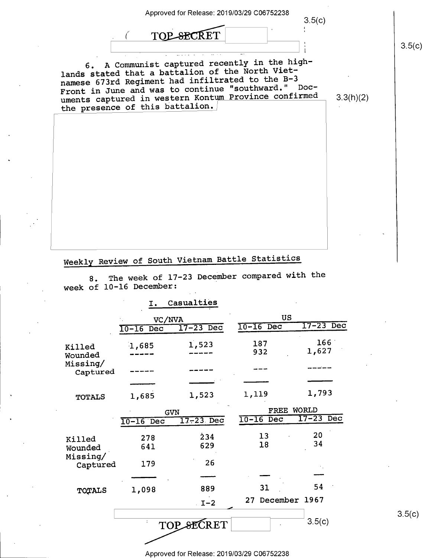

# Weekly Review of South Vietnam Battle Statistics

8. The week of 17-23 December compared with the week of l0-16 December:

## I. Casualties

|                      | VC/NVA                 |             | US                          |                  |
|----------------------|------------------------|-------------|-----------------------------|------------------|
|                      | $\overline{10-16}$ Dec | $17-23$ Dec | $10-16$ Dec                 | $17-23$ Dec      |
| Killed<br>Wounded    | 1,685                  | 1,523       | 187<br>932                  | 166<br>1,627     |
| Missing/<br>Captured |                        |             |                             |                  |
|                      |                        |             |                             |                  |
| <b>TOTALS</b>        | 1,685                  | 1,523       | 1,119                       | 1,793            |
|                      |                        | <b>GVN</b>  | <b>WORLD</b><br><b>FREE</b> |                  |
|                      | $\overline{10-16}$ Dec | $17-23$ Dec | $10-16$ Dec                 | $17 - 23$<br>Dec |
| Killed<br>Wounded    | 278<br>641             | 234<br>629  | 13<br>18                    | 20<br>34         |
| Missing/<br>Captured | 179                    | 26          |                             |                  |
|                      |                        |             |                             |                  |
| TOTALS               | 1,098                  | 889         | 31                          | 54               |
|                      |                        | $I-2$       | December 1967<br>27         |                  |
|                      |                        | TOP SECRET  |                             | 3.5(c)           |

 $3.5(c)$ 

Approved for Release: 2019/03/29 C06752238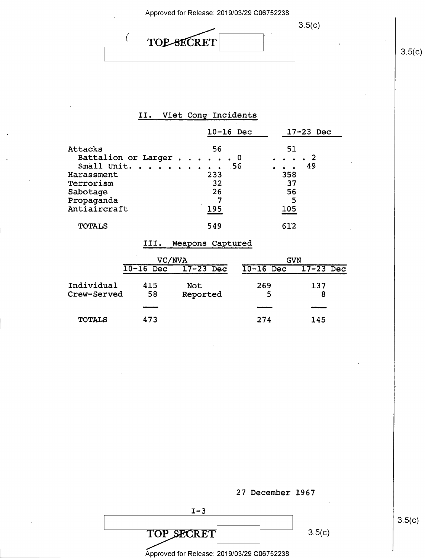$3.5(c)$ 

 $3.5(c)$ 

# II. Viet Cong Incidents

TOP SECRET

 $\overline{(\ }$ 

|                                                                                                                         | $10-16$ Dec                  | $17-23$ Dec                                |
|-------------------------------------------------------------------------------------------------------------------------|------------------------------|--------------------------------------------|
| Attacks<br>Battalion or Larger 0<br>Small Unit. 56<br>Harassment<br>Terrorism<br>Sabotage<br>Propaganda<br>Antiaircraft | 56<br>233<br>32<br>26<br>195 | 51<br>49<br>358<br>$-37$<br>56<br>5<br>105 |
| <b>TOTALS</b>                                                                                                           | 549                          | 612                                        |

## III. Weapons Captured

|               | <b>VC/NVA</b>    |                  |                  | GVN         |
|---------------|------------------|------------------|------------------|-------------|
|               | $10 - 16$<br>Dec | $17 - 23$<br>Dec | $10 - 16$<br>Dec | $17-23$ Dec |
| Individual    | 415              | Not              | 269              | 137         |
| Crew-Served   | 58               | Reported         | 5                | 8           |
|               |                  |                  |                  |             |
| <b>TOTALS</b> | 473              |                  | 274              | 145         |



 $3.5(c)$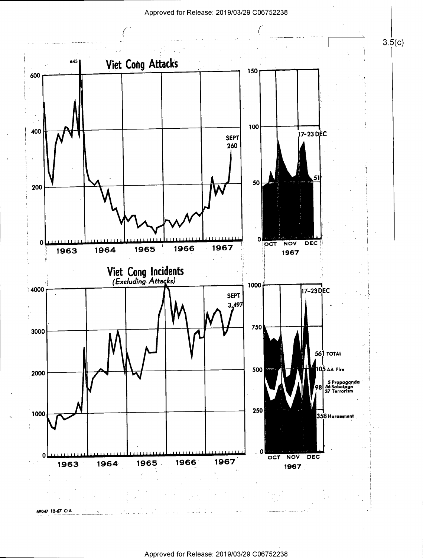

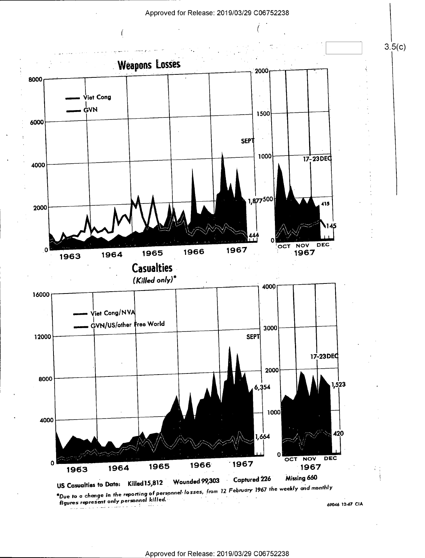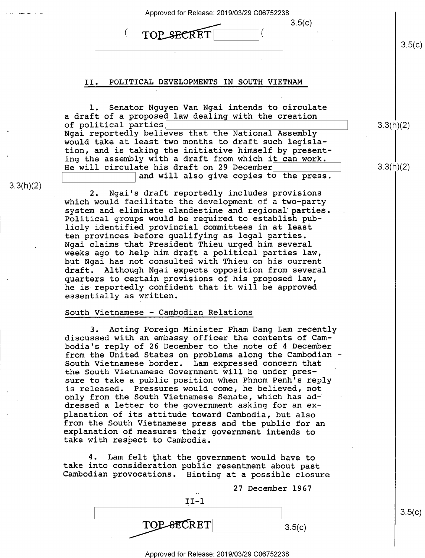| Approved for Release: 2019/03/29 C06752238 |  |
|--------------------------------------------|--|
| 3.5(c)<br>TOP SECRET                       |  |

### II. POLITICAL DEVELOPMENTS IN SOUTH VIETNAM

l. Senator Nguyen Van Ngai intends to circulate a draft of a proposed law dealing with the creation of political parties] Ngai reportedly believes that the National Assembly would take at least two months to draft such legislation, and is taking the initiative himself by presenting the assembly with a draft from which it can work. He will circulate his draft on 29 December and will also give copies to the press.

2. Ngai's draft reportedly includes provisions which would facilitate the development of a two—party system and eliminate clandestine and regional'parties. Political groups would be required to establish publicly identified provincial committees in at least ten provinces before qualifying as legal parties. Ngai claims that President Thieu urged him several weeks ago to help him draft a political parties law, but Ngai has not consulted with Thieu on his current draft. Although Ngai expects opposition from several quarters to certain provisions of his proposed law, he is reportedly confident that it will be approved essentially as written.

#### South Vietnamese - Cambodian Relations

3.3(h)(2)

3. Acting Foreign Minister Pham Dang Lam recently discussed with an embassy officer the contents of Cambodia's reply of 26 December to the note of 4 December from the United States on problems along the Cambodian — South Vietnamese border. Lam expressed concern that the South Vietnamese Government will be under pressure to take a public position when Phnom Penh's reply is released. Pressures would come, he believed, not only from the South Vietnamese Senate, which has addressed a letter to the government asking for an explanation of its attitude toward Cambodia, but also<br>from the South Vietnamese press and the public for an explanation of measures their government intends to<br>take with respect to Cambodia.

4. Lam felt that the government would have to take into consideration public resentment about past Cambodian provocations. Hinting at a possible closure

| $\cdot$ .  | 27 December 1967 |
|------------|------------------|
| $TI-1$     |                  |
|            |                  |
| TOP-SECRET | 3.5(c)           |

 $3.5(c)$ 

3.3(h)(2)

 $3.5(c)$ 

3.3(h)(2)

#### \_\_ 7 Approved for Release: 2019/03/29 C06752238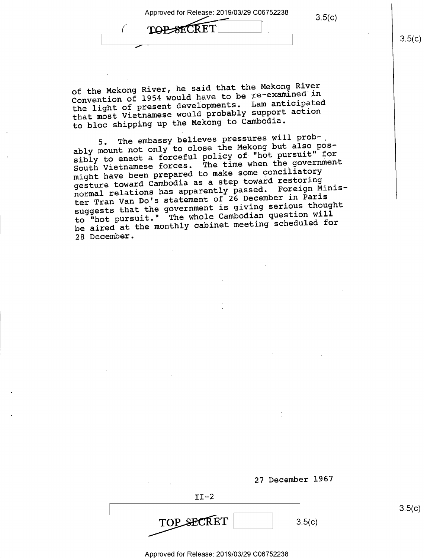~ TOP-SECRET , which is a set of the set of the set of the set of the set of the set of the set of the set of the set of the set of the set of the set of the set of the set of the set of the set of the set of the set of the set of the

of the Mekong River, he said that the Mekong River Convention of 1954 would have to be re-examined in the light of present developments. Lam anticipated that most Vietnamese would probably support action to bloc shipping up the Mekong to Cambodia.

5. The embassy believes pressures will probably mount not only to close the Mekong but also possibly to enact a forceful policy of "hot pursuit" for South Vietnamese forces. The time when the government might have been prepared to make some conciliatory gesture toward Cambodia as a step toward restoring normal relations has apparently passed. Foreign Minister Tran Van Do's statement of 26 December in Paris suggests that the government is giving serious thought to "hot pursuit." The whole Cambodian question will be aired at the monthly cabinet meeting scheduled for 28 December.

![](_page_8_Figure_4.jpeg)

 $3.5(c)$ 

Approved for Release: 2019/03/29 C06752238

 $3.5(c)$ 

 $3.5(c)$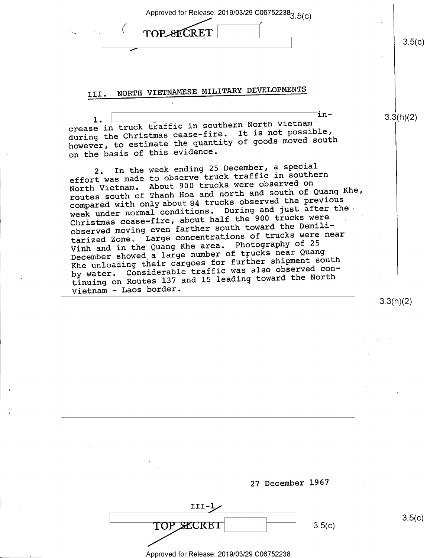| .5(c) |
|-------|
|       |

# III. NORTH VIETNAMESE MILITARY DEVELOPMENTS

 $1. \begin{pmatrix} 1 & 1 & 1 \end{pmatrix}$ crease in truck traffic in southern North Vietnam<br>crease in truck traffic in southern It is not possibl during the Christmas however, to estimate the quantity of goods moved south on the basis of this evidence. during the Christmas cease-fire. It is not possible,

2. In the week ending 25 December, a special<br>t was made to observe truck traffic in southern effort was made to observe truck trailic in Soden<br>North Vietnam. About 900 trucks were observed on North Vietnam. routes south of Thanh Hoa and north and south of Quang Khe, In the week ending 25 December, a special routes south only about 84 trucks observed the previous<br>compared with only about 84 trucks observed the previous week under normal cond week dhaci heemaan.<br>Christmas cease-fire, about half the 900 trucks were observed moving even farther south toward the Demiliditions. During and just after the tarized Zone. Large concentrations of trucks were near Vinh and in the Quang Khe area. Photography of <sup>25</sup> December showed a large number of trucks hear gading<br>Khe unloading their cargoes for further shipment south Khe unloading their cargoes for further shipment boat.<br>by water. Considerable traffic was also observed conby water. Considerabl by wattl. Conserve 137 and 15 leading toward the North Vietnam — Laos border December showed a large number of trucks near Quang

3.3(h)(2)

 $3.5(c)$ 

3.3(h)(2)

![](_page_9_Figure_5.jpeg)

III-1/ TOP SECRET 3.5(c)

\_ Approved for Release: 2019/03/29 C06752238